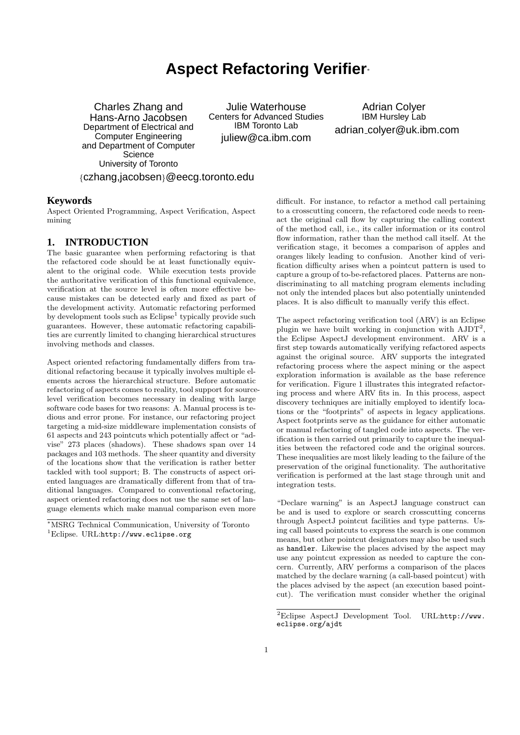# **Aspect Refactoring Verifier**<sup>∗</sup>

Charles Zhang and Hans-Arno Jacobsen Department of Electrical and Computer Engineering and Department of Computer **Science** University of Toronto {czhang,jacobsen}@eecg.toronto.edu

Julie Waterhouse Centers for Advanced Studies IBM Toronto Lab juliew@ca.ibm.com

Adrian Colyer IBM Hursley Lab adrian colyer@uk.ibm.com

#### **Keywords**

Aspect Oriented Programming, Aspect Verification, Aspect mining

# **1. INTRODUCTION**

The basic guarantee when performing refactoring is that the refactored code should be at least functionally equivalent to the original code. While execution tests provide the authoritative verification of this functional equivalence, verification at the source level is often more effective because mistakes can be detected early and fixed as part of the development activity. Automatic refactoring performed by development tools such as  $E \text{clipse}^1$  typically provide such guarantees. However, these automatic refactoring capabilities are currently limited to changing hierarchical structures involving methods and classes.

Aspect oriented refactoring fundamentally differs from traditional refactoring because it typically involves multiple elements across the hierarchical structure. Before automatic refactoring of aspects comes to reality, tool support for sourcelevel verification becomes necessary in dealing with large software code bases for two reasons: A. Manual process is tedious and error prone. For instance, our refactoring project targeting a mid-size middleware implementation consists of 61 aspects and 243 pointcuts which potentially affect or "advise" 273 places (shadows). These shadows span over 14 packages and 103 methods. The sheer quantity and diversity of the locations show that the verification is rather better tackled with tool support; B. The constructs of aspect oriented languages are dramatically different from that of traditional languages. Compared to conventional refactoring, aspect oriented refactoring does not use the same set of language elements which make manual comparison even more

difficult. For instance, to refactor a method call pertaining to a crosscutting concern, the refactored code needs to reenact the original call flow by capturing the calling context of the method call, i.e., its caller information or its control flow information, rather than the method call itself. At the verification stage, it becomes a comparison of apples and oranges likely leading to confusion. Another kind of verification difficulty arises when a pointcut pattern is used to capture a group of to-be-refactored places. Patterns are nondiscriminating to all matching program elements including not only the intended places but also potentially unintended places. It is also difficult to manually verify this effect.

The aspect refactoring verification tool (ARV) is an Eclipse plugin we have built working in conjunction with  $AJDT<sup>2</sup>$ , the Eclipse AspectJ development environment. ARV is a first step towards automatically verifying refactored aspects against the original source. ARV supports the integrated refactoring process where the aspect mining or the aspect exploration information is available as the base reference for verification. Figure 1 illustrates this integrated refactoring process and where ARV fits in. In this process, aspect discovery techniques are initially employed to identify locations or the "footprints" of aspects in legacy applications. Aspect footprints serve as the guidance for either automatic or manual refactoring of tangled code into aspects. The verification is then carried out primarily to capture the inequalities between the refactored code and the original sources. These inequalities are most likely leading to the failure of the preservation of the original functionality. The authoritative verification is performed at the last stage through unit and integration tests.

"Declare warning" is an AspectJ language construct can be and is used to explore or search crosscutting concerns through AspectJ pointcut facilities and type patterns. Using call based pointcuts to express the search is one common means, but other pointcut designators may also be used such as handler. Likewise the places advised by the aspect may use any pointcut expression as needed to capture the concern. Currently, ARV performs a comparison of the places matched by the declare warning (a call-based pointcut) with the places advised by the aspect (an execution based pointcut). The verification must consider whether the original

<sup>∗</sup>MSRG Technical Communication, University of Toronto  ${}^{1}$ Eclipse. URL:http://www.eclipse.org

<sup>2</sup>Eclipse AspectJ Development Tool. URL:http://www. eclipse.org/ajdt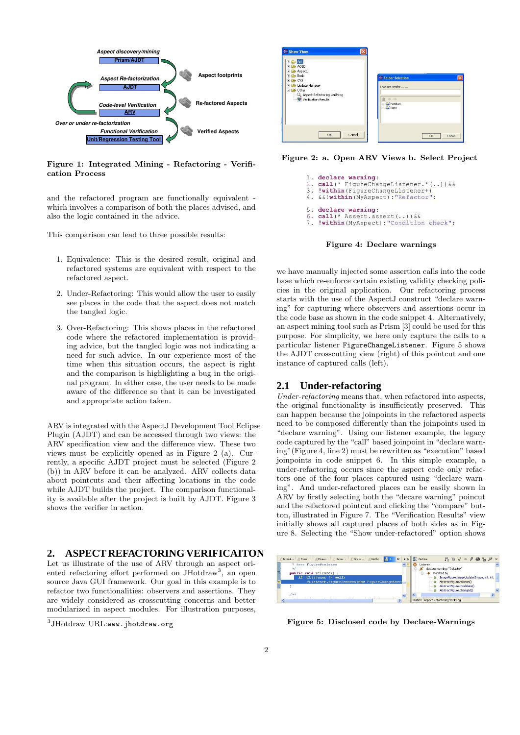

Figure 1: Integrated Mining - Refactoring - Verification Process

and the refactored program are functionally equivalent which involves a comparison of both the places advised, and also the logic contained in the advice.

This comparison can lead to three possible results:

- 1. Equivalence: This is the desired result, original and refactored systems are equivalent with respect to the refactored aspect.
- 2. Under-Refactoring: This would allow the user to easily see places in the code that the aspect does not match the tangled logic.
- 3. Over-Refactoring: This shows places in the refactored code where the refactored implementation is providing advice, but the tangled logic was not indicating a need for such advice. In our experience most of the time when this situation occurs, the aspect is right and the comparison is highlighting a bug in the original program. In either case, the user needs to be made aware of the difference so that it can be investigated and appropriate action taken.

ARV is integrated with the AspectJ Development Tool Eclipse Plugin (AJDT) and can be accessed through two views: the ARV specification view and the difference view. These two views must be explicitly opened as in Figure 2 (a). Currently, a specific AJDT project must be selected (Figure 2 (b)) in ARV before it can be analyzed. ARV collects data about pointcuts and their affecting locations in the code while AJDT builds the project. The comparison functionality is available after the project is built by AJDT. Figure 3 shows the verifier in action.

# **2. ASPECT REFACTORING VERIFICAITON**

Let us illustrate of the use of ARV through an aspect oriented refactoring effort performed on JHotdraw<sup>3</sup> , an open source Java GUI framework. Our goal in this example is to refactor two functionalities: observers and assertions. They are widely considered as crosscutting concerns and better modularized in aspect modules. For illustration purposes,



Figure 2: a. Open ARV Views b. Select Project



Figure 4: Declare warnings

we have manually injected some assertion calls into the code base which re-enforce certain existing validity checking policies in the original application. Our refactoring process starts with the use of the AspectJ construct "declare warning" for capturing where observers and assertions occur in the code base as shown in the code snippet 4. Alternatively, an aspect mining tool such as Prism [3] could be used for this purpose. For simplicity, we here only capture the calls to a particular listener FigureChangeListener. Figure 5 shows the AJDT crosscutting view (right) of this pointcut and one instance of captured calls (left).

#### **2.1 Under-refactoring**

Under-refactoring means that, when refactored into aspects, the original functionality is insufficiently preserved. This can happen because the joinpoints in the refactored aspects need to be composed differently than the joinpoints used in "declare warning". Using our listener example, the legacy code captured by the "call" based joinpoint in "declare warning"(Figure 4, line 2) must be rewritten as "execution" based joinpoints in code snippet 6. In this simple example, a under-refactoring occurs since the aspect code only refactors one of the four places captured using "declare warning". And under-refactored places can be easily shown in ARV by firstly selecting both the "decare warning" poincut and the refactored pointcut and clicking the "compare" button, illustrated in Figure 7. The "Verification Results" view initially shows all captured places of both sides as in Figure 8. Selecting the "Show under-refactored" option shows



Figure 5: Disclosed code by Declare-Warnings

 $^3\mathrm{JHotdraw}$   $\mathrm{URL:}$ www.jhotdraw.org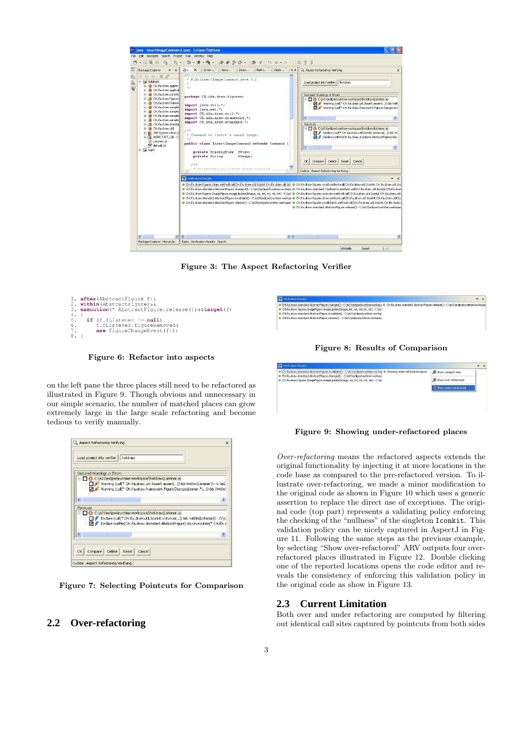

Figure 3: The Aspect Refactoring Verifier

H.ifa.draw.standard.AbstractFigure.changed() - C:\e21\ecli



Figure 6: Refactor into aspects

on the left pane the three places still need to be refactored as illustrated in Figure 9. Though obvious and unnecessary in our simple scenario, the number of matched places can grow extremely large in the large scale refactoring and become tedious to verify manually.



Figure 7: Selecting Pointcuts for Comparison

# **2.2 Over-refactoring**

 $\overline{\phantom{0}}$  x -<br>● (CH. Fa.draw.standard.AbstractFigure.invalidate() - C:\e21\eclpse\runtime-worksp<br>● CH. Fa.draw.standard.AbstractFigure.changed() - C:\e21\eclpse\runtime-worksp<br>● CH.Fa.draw.figures.ImageFigure.imageUpdate(Image, int, orksn @ Showing under refactored glaces **A** Show compact view **A** Show over-refactored

Figure 8: Results of Comparison

(e21\eclipse\runtime-wor<br>e, int, int, int, int, int) - (

.<br>rksp: @ CH.ifa.draw.standard.AbstractFigure.release() - C:\e21\eclipse\

 $\rightarrow x$ 

Figure 9: Showing under-refactored places

Over-refactoring means the refactored aspects extends the original functionality by injecting it at more locations in the code base as compared to the pre-refactored version. To illustrate over-refactoring, we made a minor modification to the original code as shown in Figure 10 which uses a generic assertion to replace the direct use of exceptions. The original code (top part) represents a validating policy enforcing the checking of the "nullness" of the singleton Iconkit. This validation policy can be nicely captured in AspectJ in Figure 11. Following the same steps as the previous example, by selecting "Show over-refactored" ARV outputs four overrefactored places illustrated in Figure 12. Double clicking one of the reported locations opens the code editor and reveals the consistency of enforcing this validation policy in the original code as show in Figure 13.

#### **2.3 Current Limitation**

Both over and under refactoring are computed by filtering out identical call sites captured by pointcuts from both sides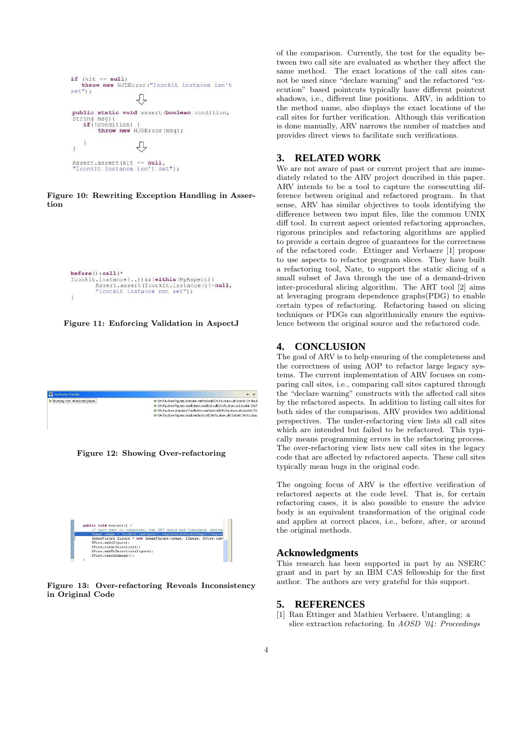

Figure 10: Rewriting Exception Handling in Assertion

```
before():call(*
Iconkit.instance(..))&&!within(MyAspect){
         Assert.assert(Iconkit.instance()!=null,<br>"Iconkit instance not set");
\lambda
```
Figure 11: Enforcing Validation in AspectJ

| · CH.ifa.draw.figures.execute.method-call(CH.ifa.draw.util.Iconkit CH.ifa.d |
|-----------------------------------------------------------------------------|
| · CH.ifa.draw.figures.readObtect.method-call(CH.ifa.draw.util.Iconkit CH.if |
| · CH.ifa.draw.standard.ToolButton.method-call(CH.ifa.draw.util.Iconkit CH.  |
| · CH.ifa.draw.figures.read.method-call(CH.ifa.draw.util.Iconkit CH.ifa.draw |
|                                                                             |
|                                                                             |
|                                                                             |

Figure 12: Showing Over-refactoring



Figure 13: Over-refactoring Reveals Inconsistency in Original Code

of the comparison. Currently, the test for the equality between two call site are evaluated as whether they affect the same method. The exact locations of the call sites cannot be used since "declare warning" and the refactored "execution" based pointcuts typically have different pointcut shadows, i.e., different line positions. ARV, in addition to the method name, also displays the exact locations of the call sites for further verification. Although this verification is done manually, ARV narrows the number of matches and provides direct views to facilitate such verifications.

### **3. RELATED WORK**

We are not aware of past or current project that are immediately related to the ARV project described in this paper. ARV intends to be a tool to capture the corsscutting difference between original and refactored program. In that sense, ARV has similar objectives to tools identifying the difference between two input files, like the common UNIX diff tool. In current aspect oriented refactoring approaches, rigorous principles and refactoring algorithms are applied to provide a certain degree of guarantees for the correctness of the refactored code. Ettinger and Verbaere [1] propose to use aspects to refactor program slices. They have built a refactoring tool, Nate, to support the static slicing of a small subset of Java through the use of a demand-driven inter-procedural slicing algorithm. The ART tool [2] aims at leveraging program dependence graphs(PDG) to enable certain types of refactoring. Refactoring based on slicing techniques or PDGs can algorithmically ensure the equivalence between the original source and the refactored code.

#### **4. CONCLUSION**

The goal of ARV is to help ensuring of the completeness and the correctness of using AOP to refactor large legacy systems. The current implementation of ARV focuses on comparing call sites, i.e., comparing call sites captured through the "declare warning" constructs with the affected call sites by the refactored aspects. In addition to listing call sites for both sides of the comparison, ARV provides two additional perspectives. The under-refactoring view lists all call sites which are intended but failed to be refactored. This typically means programming errors in the refactoring process. The over-refactoring view lists new call sites in the legacy code that are affected by refactored aspects. These call sites typically mean bugs in the original code.

The ongoing focus of ARV is the effective verification of refactored aspects at the code level. That is, for certain refactoring cases, it is also possible to ensure the advice body is an equivalent transformation of the original code and applies at correct places, i.e., before, after, or around the original methods.

#### **Acknowledgments**

This research has been supported in part by an NSERC grant and in part by an IBM CAS fellowship for the first author. The authors are very grateful for this support.

#### **5. REFERENCES**

[1] Ran Ettinger and Mathieu Verbaere. Untangling: a slice extraction refactoring. In AOSD '04: Proceedings